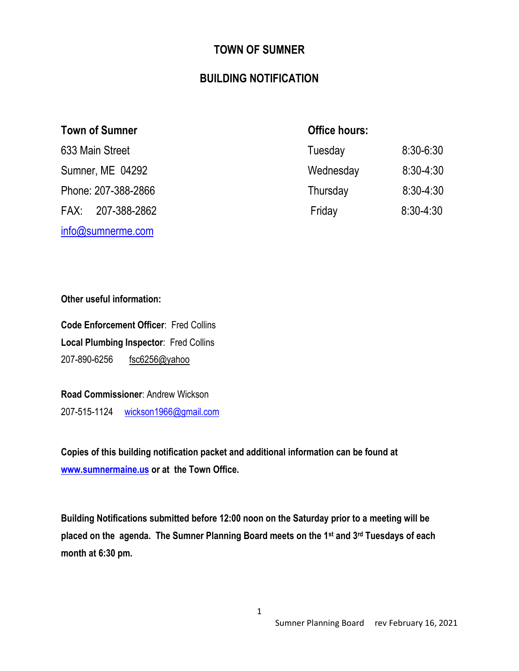### **TOWN OF SUMNER**

### **BUILDING NOTIFICATION**

| <b>Town of Sumner</b> | <b>Office hours:</b> |               |
|-----------------------|----------------------|---------------|
| 633 Main Street       | Tuesday              | $8:30 - 6:30$ |
| Sumner, ME 04292      | Wednesday            | $8:30-4:30$   |
| Phone: 207-388-2866   | Thursday             | $8:30-4:30$   |
| FAX: 207-388-2862     | Friday               | $8:30 - 4:30$ |
| info@sumnerme.com     |                      |               |

**Other useful information:**

**Code Enforcement Officer**: Fred Collins **Local Plumbing Inspector**: Fred Collins 207-890-6256 [fsc6256@yahoo](mailto:sumnermaineCEO@gmail.com)

**Road Commissioner**: Andrew Wickson 207-515-1124 [wickson1966@gmail.com](mailto:wickson1966@gmail.com)

**Copies of this building notification packet and additional information can be found at [www.sumnermaine.us](http://www.sumnermaine.us/) or at the Town Office.**

**Building Notifications submitted before 12:00 noon on the Saturday prior to a meeting will be placed on the agenda. The Sumner Planning Board meets on the 1st and 3rd Tuesdays of each month at 6:30 pm.**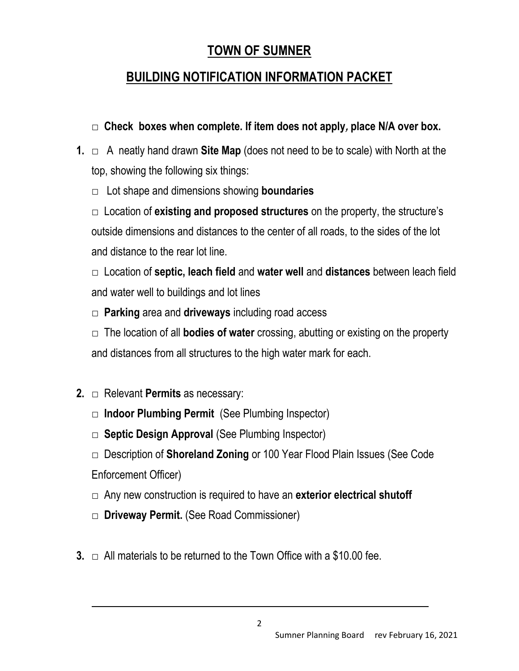## **TOWN OF SUMNER**

## **BUILDING NOTIFICATION INFORMATION PACKET**

- **□ Check boxes when complete. If item does not apply, place N/A over box.**
- **1.** □ A neatly hand drawn **Site Map** (does not need to be to scale) with North at the top, showing the following six things:
	- □ Lot shape and dimensions showing **boundaries**

□ Location of **existing and proposed structures** on the property, the structure's outside dimensions and distances to the center of all roads, to the sides of the lot and distance to the rear lot line.

□ Location of **septic, leach field** and **water well** and **distances** between leach field and water well to buildings and lot lines

□ **Parking** area and **driveways** including road access

□ The location of all **bodies of water** crossing, abutting or existing on the property and distances from all structures to the high water mark for each.

- **2.** □ Relevant **Permits** as necessary:
	- □ **Indoor Plumbing Permit** (See Plumbing Inspector)
	- □ **Septic Design Approval** (See Plumbing Inspector)
	- □ Description of **Shoreland Zoning** or 100 Year Flood Plain Issues (See Code Enforcement Officer)
	- □ Any new construction is required to have an **exterior electrical shutoff**
	- □ **Driveway Permit.** (See Road Commissioner)
- **3.** □ All materials to be returned to the Town Office with a \$10.00 fee.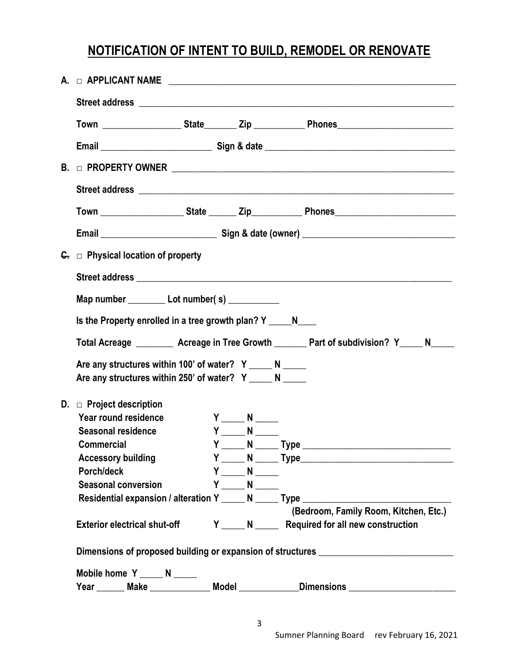# **NOTIFICATION OF INTENT TO BUILD, REMODEL OR RENOVATE**

|  | $G_{\tau}$ $\Box$ Physical location of property                                                                      |  |                                                                                                                    |  |                                                                                             |  |
|--|----------------------------------------------------------------------------------------------------------------------|--|--------------------------------------------------------------------------------------------------------------------|--|---------------------------------------------------------------------------------------------|--|
|  |                                                                                                                      |  |                                                                                                                    |  |                                                                                             |  |
|  | Map number ____________ Lot number(s) ____________                                                                   |  |                                                                                                                    |  |                                                                                             |  |
|  | Is the Property enrolled in a tree growth plan? Y N                                                                  |  |                                                                                                                    |  |                                                                                             |  |
|  |                                                                                                                      |  |                                                                                                                    |  | Total Acreage __________ Acreage in Tree Growth ________ Part of subdivision? Y_____ N_____ |  |
|  | Are any structures within 100' of water? Y _____ N _____<br>Are any structures within 250' of water? Y _____ N _____ |  |                                                                                                                    |  |                                                                                             |  |
|  | D. $\Box$ Project description<br>Year round residence<br>Seasonal residence                                          |  | $Y \underline{\hspace{1cm}} N \underline{\hspace{1cm}}$<br>$Y \underline{\hspace{1cm}} N \underline{\hspace{1cm}}$ |  |                                                                                             |  |
|  | <b>Commercial</b>                                                                                                    |  |                                                                                                                    |  |                                                                                             |  |
|  | <b>Accessory building</b>                                                                                            |  |                                                                                                                    |  |                                                                                             |  |
|  | Porch/deck                                                                                                           |  | $Y \underline{\hspace{2cm}} N \underline{\hspace{2cm}}$                                                            |  |                                                                                             |  |
|  | <b>Seasonal conversion</b>                                                                                           |  | $Y \underline{\hspace{1cm}} N \underline{\hspace{1cm}}$                                                            |  | Residential expansion / alteration Y _____ N _____ Type ________________________            |  |
|  |                                                                                                                      |  |                                                                                                                    |  | (Bedroom, Family Room, Kitchen, Etc.)                                                       |  |
|  | <b>Exterior electrical shut-off</b>                                                                                  |  |                                                                                                                    |  | Y _____ N _______ Required for all new construction                                         |  |
|  | Dimensions of proposed building or expansion of structures _____________________                                     |  |                                                                                                                    |  |                                                                                             |  |
|  | Mobile home $Y_{\_\_\_\_N} N_{\_\_\_\_\_N}$                                                                          |  |                                                                                                                    |  |                                                                                             |  |
|  |                                                                                                                      |  |                                                                                                                    |  | Year Make Music Model Model Dimensions Manuscription Music Mean                             |  |
|  |                                                                                                                      |  |                                                                                                                    |  |                                                                                             |  |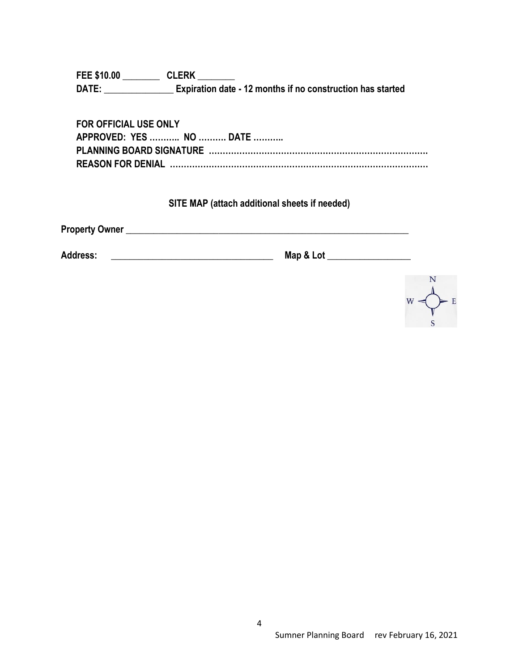**FEE \$10.00 \_\_\_\_\_\_\_\_ CLERK \_\_\_\_\_\_\_\_ DATE: \_\_\_\_\_\_\_\_\_\_\_\_\_\_\_ Expiration date - 12 months if no construction has started** 

| <b>FOR OFFICIAL USE ONLY</b> |
|------------------------------|
| APPROVED: YES  NO  DATE      |
|                              |
|                              |

### **SITE MAP (attach additional sheets if needed)**

**Property Owner Law and Contract Analysis of the Contract Analysis of the Contract Analysis of the Contract Analysis of the Contract Analysis of the Contract Analysis of the Contract Analysis of the Contract Analysis of th** 

**Address: \_\_\_\_\_\_\_\_\_\_\_\_\_\_\_\_\_\_\_\_\_\_\_\_\_\_\_\_\_\_\_\_\_\_\_ Map & Lot \_\_\_\_\_\_\_\_\_\_\_\_\_\_\_\_\_\_**